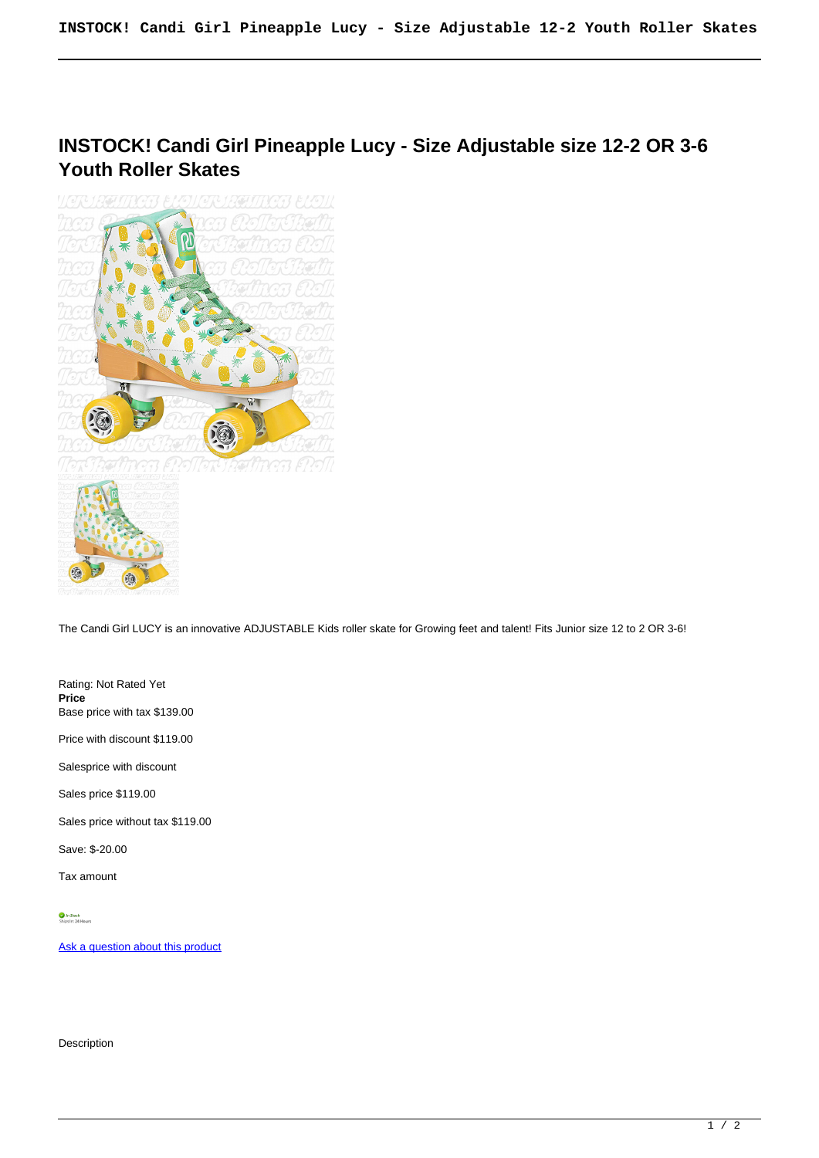**INSTOCK! Candi Girl Pineapple Lucy - Size Adjustable size 12-2 OR 3-6 Youth Roller Skates**



The Candi Girl LUCY is an innovative ADJUSTABLE Kids roller skate for Growing feet and talent! Fits Junior size 12 to 2 OR 3-6!

Rating: Not Rated Yet **Price**  Base price with tax \$139.00

Price with discount \$119.00

Salesprice with discount

Sales price \$119.00

Sales price without tax \$119.00

Save: \$-20.00

Tax amount

[Ask a question about this product](https://rollerskatin.ca/index.php?option=com_virtuemart&view=productdetails&task=askquestion&virtuemart_product_id=1065&virtuemart_category_id=28&tmpl=component)

Description